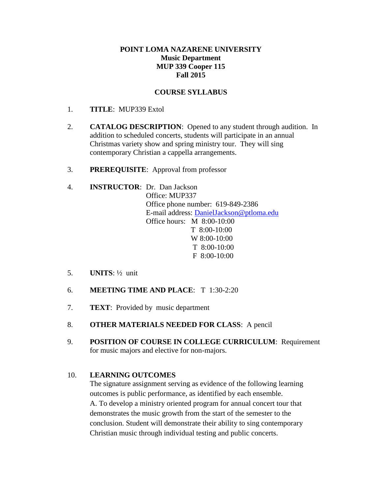### **POINT LOMA NAZARENE UNIVERSITY Music Department MUP 339 Cooper 115 Fall 2015**

### **COURSE SYLLABUS**

- 1. **TITLE**: MUP339 Extol
- 2. **CATALOG DESCRIPTION**: Opened to any student through audition. In addition to scheduled concerts, students will participate in an annual Christmas variety show and spring ministry tour. They will sing contemporary Christian a cappella arrangements.
- 3. **PREREQUISITE**: Approval from professor

#### 4. **INSTRUCTOR**: Dr. Dan Jackson Office: MUP337

Office phone number: 619-849-2386 E-mail address: [DanielJackson@ptloma.edu](mailto:DanielJackson@ptloma.edu) Office hours: M 8:00-10:00 T 8:00-10:00 W 8:00-10:00 T 8:00-10:00 F 8:00-10:00

- 5. **UNITS**: ½ unit
- 6. **MEETING TIME AND PLACE**: T 1:30-2:20
- 7. **TEXT**: Provided by music department
- 8. **OTHER MATERIALS NEEDED FOR CLASS**: A pencil
- 9. **POSITION OF COURSE IN COLLEGE CURRICULUM**: Requirement for music majors and elective for non-majors.

# 10. **LEARNING OUTCOMES**

The signature assignment serving as evidence of the following learning outcomes is public performance, as identified by each ensemble. A. To develop a ministry oriented program for annual concert tour that demonstrates the music growth from the start of the semester to the conclusion. Student will demonstrate their ability to sing contemporary Christian music through individual testing and public concerts.